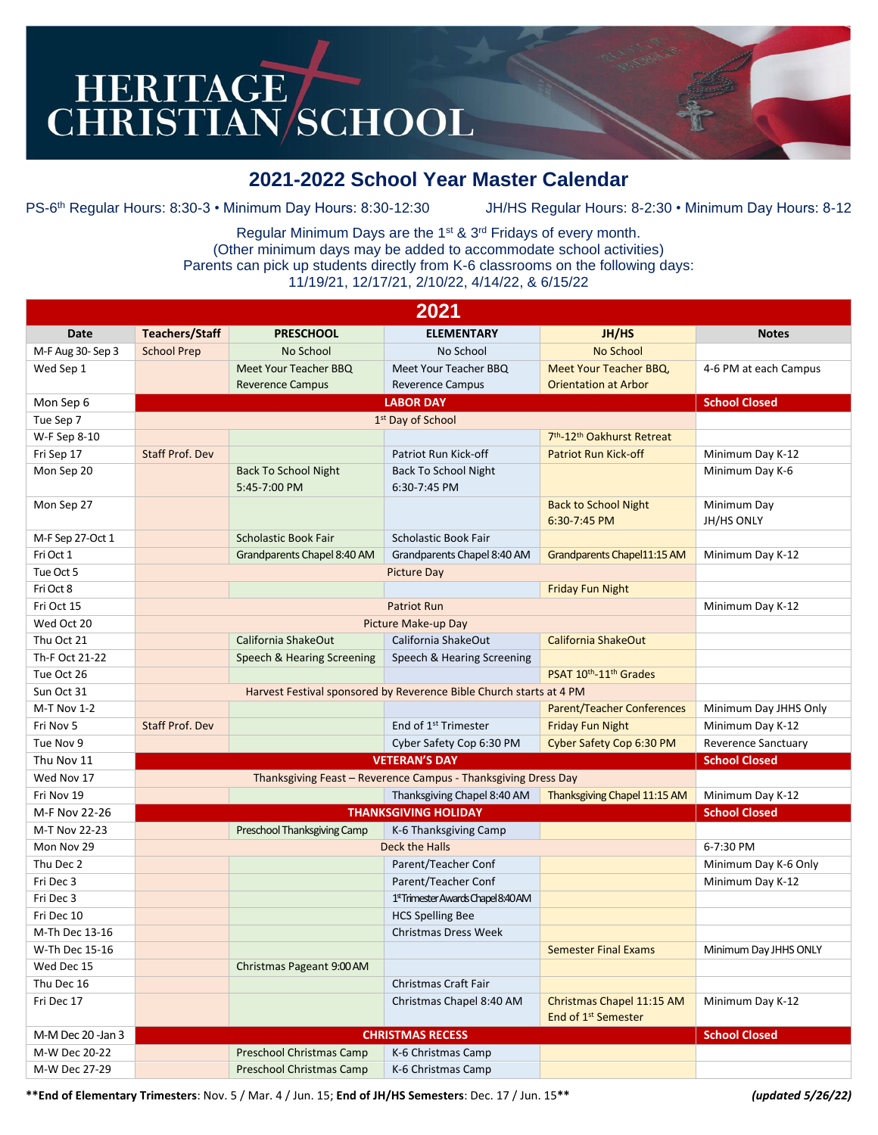## HERITAGE CHRISTIAN SCHOOL

## **2021-2022 School Year Master Calendar**

PS-6 th Regular Hours: 8:30-3 • Minimum Day Hours: 8:30-12:30 JH/HS Regular Hours: 8-2:30 • Minimum Day Hours: 8-12

Regular Minimum Days are the 1st & 3rd Fridays of every month. (Other minimum days may be added to accommodate school activities) Parents can pick up students directly from K-6 classrooms on the following days: 11/19/21, 12/17/21, 2/10/22, 4/14/22, & 6/15/22

| 2021              |                        |                                 |                                     |                                                              |                            |  |  |  |
|-------------------|------------------------|---------------------------------|-------------------------------------|--------------------------------------------------------------|----------------------------|--|--|--|
| Date              | <b>Teachers/Staff</b>  | <b>PRESCHOOL</b>                | <b>ELEMENTARY</b>                   | JH/HS                                                        | <b>Notes</b>               |  |  |  |
| M-F Aug 30- Sep 3 | <b>School Prep</b>     | No School                       | No School                           | <b>No School</b>                                             |                            |  |  |  |
| Wed Sep 1         |                        | Meet Your Teacher BBQ           | Meet Your Teacher BBQ               | Meet Your Teacher BBQ,                                       | 4-6 PM at each Campus      |  |  |  |
|                   |                        | <b>Reverence Campus</b>         | <b>Reverence Campus</b>             | <b>Orientation at Arbor</b>                                  |                            |  |  |  |
| Mon Sep 6         |                        | <b>School Closed</b>            |                                     |                                                              |                            |  |  |  |
| Tue Sep 7         |                        |                                 |                                     |                                                              |                            |  |  |  |
| W-F Sep 8-10      |                        |                                 |                                     | 7 <sup>th</sup> -12 <sup>th</sup> Oakhurst Retreat           |                            |  |  |  |
| Fri Sep 17        | Staff Prof. Dev        |                                 | Patriot Run Kick-off                | <b>Patriot Run Kick-off</b>                                  | Minimum Day K-12           |  |  |  |
| Mon Sep 20        |                        | <b>Back To School Night</b>     | <b>Back To School Night</b>         |                                                              | Minimum Day K-6            |  |  |  |
|                   |                        | 5:45-7:00 PM                    | 6:30-7:45 PM                        |                                                              |                            |  |  |  |
| Mon Sep 27        |                        |                                 |                                     | <b>Back to School Night</b>                                  | Minimum Day                |  |  |  |
|                   |                        |                                 |                                     | 6:30-7:45 PM                                                 | JH/HS ONLY                 |  |  |  |
| M-F Sep 27-Oct 1  |                        | <b>Scholastic Book Fair</b>     | Scholastic Book Fair                |                                                              |                            |  |  |  |
| Fri Oct 1         |                        | Grandparents Chapel 8:40 AM     | Grandparents Chapel 8:40 AM         | Grandparents Chapel11:15 AM                                  | Minimum Day K-12           |  |  |  |
| Tue Oct 5         |                        | <b>Picture Day</b>              |                                     |                                                              |                            |  |  |  |
| Fri Oct 8         |                        |                                 |                                     | <b>Friday Fun Night</b>                                      |                            |  |  |  |
| Fri Oct 15        |                        | Minimum Day K-12                |                                     |                                                              |                            |  |  |  |
| Wed Oct 20        |                        |                                 | Picture Make-up Day                 |                                                              |                            |  |  |  |
| Thu Oct 21        |                        | California ShakeOut             | California ShakeOut                 | California ShakeOut                                          |                            |  |  |  |
| Th-F Oct 21-22    |                        | Speech & Hearing Screening      | Speech & Hearing Screening          |                                                              |                            |  |  |  |
| Tue Oct 26        |                        |                                 |                                     | PSAT 10th-11th Grades                                        |                            |  |  |  |
| Sun Oct 31        |                        |                                 |                                     |                                                              |                            |  |  |  |
| M-T Nov 1-2       |                        |                                 |                                     | <b>Parent/Teacher Conferences</b>                            | Minimum Day JHHS Only      |  |  |  |
| Fri Nov 5         | <b>Staff Prof. Dev</b> |                                 | End of 1 <sup>st</sup> Trimester    | <b>Friday Fun Night</b>                                      | Minimum Day K-12           |  |  |  |
| Tue Nov 9         |                        |                                 | Cyber Safety Cop 6:30 PM            | Cyber Safety Cop 6:30 PM                                     | <b>Reverence Sanctuary</b> |  |  |  |
| Thu Nov 11        |                        |                                 | <b>VETERAN'S DAY</b>                |                                                              | <b>School Closed</b>       |  |  |  |
| Wed Nov 17        |                        |                                 |                                     |                                                              |                            |  |  |  |
| Fri Nov 19        |                        |                                 | Thanksgiving Chapel 8:40 AM         | Thanksgiving Chapel 11:15 AM                                 | Minimum Day K-12           |  |  |  |
| M-F Nov 22-26     |                        |                                 | <b>THANKSGIVING HOLIDAY</b>         |                                                              | <b>School Closed</b>       |  |  |  |
| M-T Nov 22-23     |                        | Preschool Thanksgiving Camp     | K-6 Thanksgiving Camp               |                                                              |                            |  |  |  |
| Mon Nov 29        |                        |                                 | Deck the Halls                      |                                                              | 6-7:30 PM                  |  |  |  |
| Thu Dec 2         |                        |                                 | Parent/Teacher Conf                 |                                                              | Minimum Day K-6 Only       |  |  |  |
| Fri Dec 3         |                        |                                 | Parent/Teacher Conf                 |                                                              | Minimum Day K-12           |  |  |  |
| Fri Dec 3         |                        |                                 | 1st Trimester Awards Chapel 8:40 AM |                                                              |                            |  |  |  |
| Fri Dec 10        |                        |                                 | <b>HCS Spelling Bee</b>             |                                                              |                            |  |  |  |
| M-Th Dec 13-16    |                        |                                 | <b>Christmas Dress Week</b>         |                                                              |                            |  |  |  |
| W-Th Dec 15-16    |                        |                                 |                                     | <b>Semester Final Exams</b>                                  | Minimum Day JHHS ONLY      |  |  |  |
| Wed Dec 15        |                        | Christmas Pageant 9:00 AM       |                                     |                                                              |                            |  |  |  |
| Thu Dec 16        |                        |                                 | Christmas Craft Fair                |                                                              |                            |  |  |  |
| Fri Dec 17        |                        |                                 | Christmas Chapel 8:40 AM            | Christmas Chapel 11:15 AM<br>End of 1 <sup>st</sup> Semester | Minimum Day K-12           |  |  |  |
| M-M Dec 20 -Jan 3 |                        | <b>School Closed</b>            |                                     |                                                              |                            |  |  |  |
| M-W Dec 20-22     |                        | <b>Preschool Christmas Camp</b> | K-6 Christmas Camp                  |                                                              |                            |  |  |  |
| M-W Dec 27-29     |                        | <b>Preschool Christmas Camp</b> | K-6 Christmas Camp                  |                                                              |                            |  |  |  |

**\*\*End of Elementary Trimesters**: Nov. 5 / Mar. 4 / Jun. 15; **End of JH/HS Semesters**: Dec. 17 / Jun. 15**\*\*** *(updated 5/26/22)*